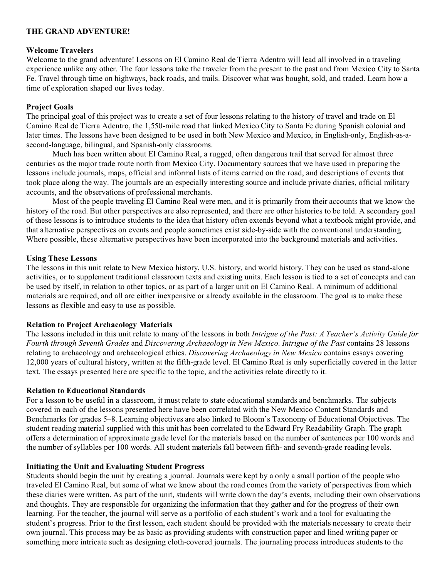### **THE GRAND ADVENTURE!**

#### **Welcome Travelers**

Welcome to the grand adventure! Lessons on El Camino Real de Tierra Adentro will lead all involved in a traveling experience unlike any other. The four lessons take the traveler from the present to the past and from Mexico City to Santa Fe. Travel through time on highways, back roads, and trails. Discover what was bought, sold, and traded. Learn how a time of exploration shaped our lives today.

## **Project Goals**

The principal goal of this project was to create a set of four lessons relating to the history of travel and trade on El Camino Real de Tierra Adentro, the 1,550-mile road that linked Mexico City to Santa Fe during Spanish colonial and later times. The lessons have been designed to be used in both New Mexico and Mexico, in English-only, English-as-asecond-language, bilingual, and Spanish-only classrooms.

Much has been written about El Camino Real, a rugged, often dangerous trail that served for almost three centuries as the major trade route north from Mexico City. Documentary sources that we have used in preparing the lessons include journals, maps, official and informal lists of items carried on the road, and descriptions of events that took place along the way. The journals are an especially interesting source and include private diaries, official military accounts, and the observations of professional merchants.

Most of the people traveling El Camino Real were men, and it is primarily from their accounts that we know the history of the road. But other perspectives are also represented, and there are other histories to be told. A secondary goal of these lessons is to introduce students to the idea that history often extends beyond what a textbook might provide, and that alternative perspectives on events and people sometimes exist side-by-side with the conventional understanding. Where possible, these alternative perspectives have been incorporated into the background materials and activities.

### **Using These Lessons**

The lessons in this unit relate to New Mexico history, U.S. history, and world history. They can be used as stand-alone activities, or to supplement traditional classroom texts and existing units. Each lesson is tied to a set of concepts and can be used by itself, in relation to other topics, or as part of a larger unit on El Camino Real. A minimum of additional materials are required, and all are either inexpensive or already available in the classroom. The goal is to make these lessons as flexible and easy to use as possible.

### **Relation to Project Archaeology Materials**

The lessons included in this unit relate to many of the lessons in both *Intrigue of the Past: A Teacher's Activity Guide for Fourth through Seventh Grades* and *Discovering Archaeology in New Mexico*. *Intrigue of the Past* contains 28 lessons relating to archaeology and archaeological ethics. *Discovering Archaeology in New Mexico* contains essays covering 12,000 years of cultural history, written at the fifth-grade level. El Camino Real is only superficially covered in the latter text. The essays presented here are specific to the topic, and the activities relate directly to it.

### **Relation to Educational Standards**

For a lesson to be useful in a classroom, it must relate to state educational standards and benchmarks. The subjects covered in each of the lessons presented here have been correlated with the New Mexico Content Standards and Benchmarks for grades 5–8. Learning objectives are also linked to Bloom's Taxonomy of Educational Objectives. The student reading material supplied with this unit has been correlated to the Edward Fry Readability Graph. The graph offers a determination of approximate grade level for the materials based on the number of sentences per 100 words and the number of syllables per 100 words. All student materials fall between fifth- and seventh-grade reading levels.

### **Initiating the Unit and Evaluating Student Progress**

Students should begin the unit by creating a journal. Journals were kept by a only a small portion of the people who traveled El Camino Real, but some of what we know about the road comes from the variety of perspectives from which these diaries were written. As part of the unit, students will write down the day's events, including their own observations and thoughts. They are responsible for organizing the information that they gather and for the progress of their own learning. For the teacher, the journal will serve as a portfolio of each student's work and a tool for evaluating the student's progress. Prior to the first lesson, each student should be provided with the materials necessary to create their own journal. This process may be as basic as providing students with construction paper and lined writing paper or something more intricate such as designing cloth-covered journals. The journaling process introduces students to the